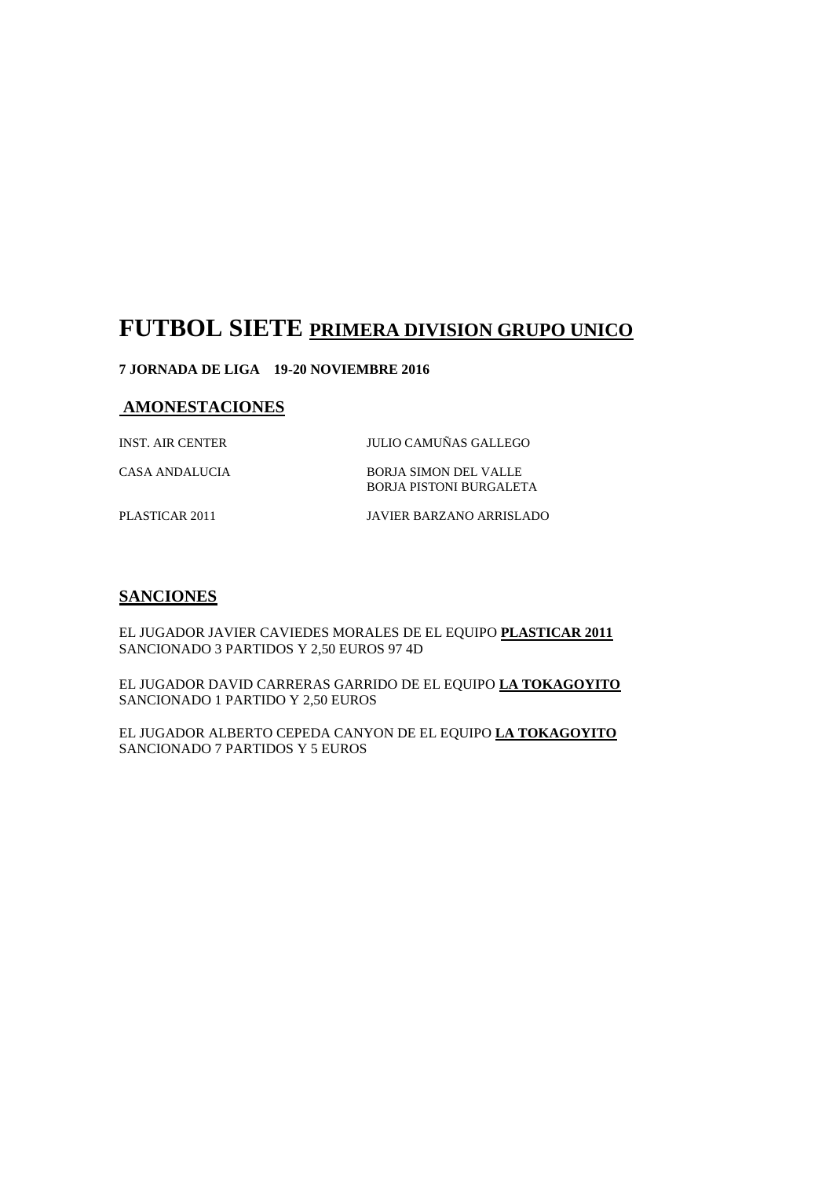# **FUTBOL SIETE PRIMERA DIVISION GRUPO UNICO**

#### **7 JORNADA DE LIGA 19-20 NOVIEMBRE 2016**

### **AMONESTACIONES**

INST. AIR CENTER JULIO CAMUÑAS GALLEGO

CASA ANDALUCIA BORJA SIMON DEL VALLE BORJA PISTONI BURGALETA

PLASTICAR 2011 JAVIER BARZANO ARRISLADO

# **SANCIONES**

EL JUGADOR JAVIER CAVIEDES MORALES DE EL EQUIPO **PLASTICAR 2011** SANCIONADO 3 PARTIDOS Y 2,50 EUROS 97 4D

EL JUGADOR DAVID CARRERAS GARRIDO DE EL EQUIPO **LA TOKAGOYITO** SANCIONADO 1 PARTIDO Y 2,50 EUROS

EL JUGADOR ALBERTO CEPEDA CANYON DE EL EQUIPO **LA TOKAGOYITO** SANCIONADO 7 PARTIDOS Y 5 EUROS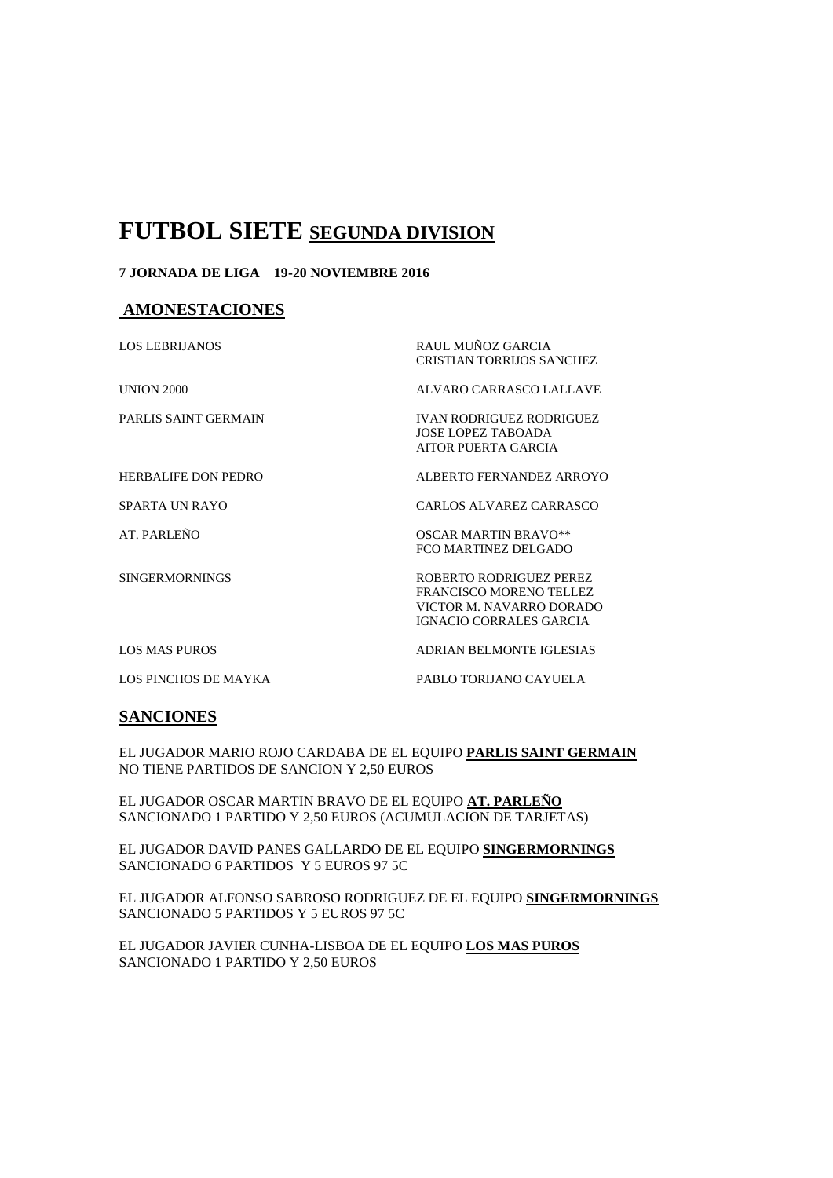# **FUTBOL SIETE SEGUNDA DIVISION**

#### **7 JORNADA DE LIGA 19-20 NOVIEMBRE 2016**

#### **AMONESTACIONES**

| <b>LOS LEBRIJANOS</b>      | RAUL MUÑOZ GARCIA<br><b>CRISTIAN TORRIJOS SANCHEZ</b>                                                            |
|----------------------------|------------------------------------------------------------------------------------------------------------------|
| <b>UNION 2000</b>          | ALVARO CARRASCO LALLAVE                                                                                          |
| PARLIS SAINT GERMAIN       | <b>IVAN RODRIGUEZ RODRIGUEZ</b><br>JOSE LOPEZ TABOADA<br>AITOR PUERTA GARCIA                                     |
| <b>HERBALIFE DON PEDRO</b> | ALBERTO FERNANDEZ ARROYO                                                                                         |
| SPARTA UN RAYO             | CARLOS ALVAREZ CARRASCO                                                                                          |
| AT. PARLEÑO                | <b>OSCAR MARTIN BRAVO**</b><br>FCO MARTINEZ DELGADO                                                              |
| <b>SINGERMORNINGS</b>      | ROBERTO RODRIGUEZ PEREZ<br>FRANCISCO MORENO TELLEZ<br>VICTOR M. NAVARRO DORADO<br><b>IGNACIO CORRALES GARCIA</b> |
| <b>LOS MAS PUROS</b>       | ADRIAN BELMONTE IGLESIAS                                                                                         |
| LOS PINCHOS DE MAYKA       | PABLO TORIJANO CAYUELA                                                                                           |

## **SANCIONES**

EL JUGADOR MARIO ROJO CARDABA DE EL EQUIPO **PARLIS SAINT GERMAIN** NO TIENE PARTIDOS DE SANCION Y 2,50 EUROS

EL JUGADOR OSCAR MARTIN BRAVO DE EL EQUIPO **AT. PARLEÑO** SANCIONADO 1 PARTIDO Y 2,50 EUROS (ACUMULACION DE TARJETAS)

EL JUGADOR DAVID PANES GALLARDO DE EL EQUIPO **SINGERMORNINGS** SANCIONADO 6 PARTIDOS Y 5 EUROS 97 5C

EL JUGADOR ALFONSO SABROSO RODRIGUEZ DE EL EQUIPO **SINGERMORNINGS** SANCIONADO 5 PARTIDOS Y 5 EUROS 97 5C

EL JUGADOR JAVIER CUNHA-LISBOA DE EL EQUIPO **LOS MAS PUROS** SANCIONADO 1 PARTIDO Y 2,50 EUROS